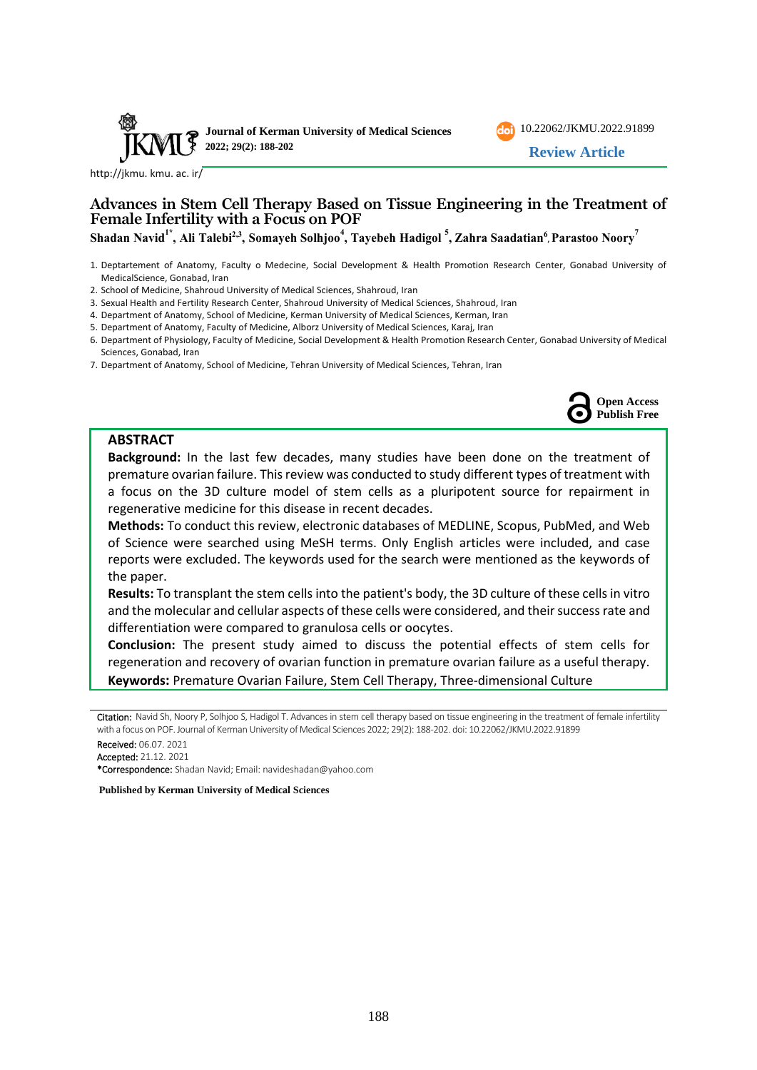



**Open Access Publish Free**

[http://jkmu. kmu. ac. ir/](http://jkmu.kmu.ac.ir/)

## **Advances in Stem Cell Therapy Based on Tissue Engineering in the Treatment of Female Infertility with a Focus on POF**

Shadan Navid<sup>1\*</sup>, Ali Talebi<sup>2,3</sup>, Somayeh Solhjoo<sup>4</sup>, Tayebeh Hadigol <sup>5</sup>, Zahra Saadatian<sup>6</sup>, Parastoo Noory<sup>7</sup>

1. Deptartement of Anatomy, Faculty o Medecine, Social Development & Health Promotion Research Center, Gonabad University of MedicalScience, Gonabad, Iran

2. School of Medicine, Shahroud University of Medical Sciences, Shahroud, Iran

- 3. Sexual Health and Fertility Research Center, Shahroud University of Medical Sciences, Shahroud, Iran
- 4. Department of Anatomy, School of Medicine, Kerman University of Medical Sciences, Kerman, Iran
- 5. Department of Anatomy, Faculty of Medicine, Alborz University of Medical Sciences, Karaj, Iran
- 6. Department of Physiology, Faculty of Medicine, Social Development & Health Promotion Research Center, Gonabad University of Medical Sciences, Gonabad, Iran
- 7. Department of Anatomy, School of Medicine, Tehran University of Medical Sciences, Tehran, Iran

#### **ABSTRACT**

**Background:** In the last few decades, many studies have been done on the treatment of premature ovarian failure. This review was conducted to study different types of treatment with a focus on the 3D culture model of stem cells as a pluripotent source for repairment in regenerative medicine for this disease in recent decades.

**Methods:** To conduct this review, electronic databases of MEDLINE, Scopus, PubMed, and Web of Science were searched using MeSH terms. Only English articles were included, and case reports were excluded. The keywords used for the search were mentioned as the keywords of the paper.

**Results:** To transplant the stem cells into the patient's body, the 3D culture of these cells in vitro and the molecular and cellular aspects of these cells were considered, and their success rate and differentiation were compared to granulosa cells or oocytes.

**Conclusion:** The present study aimed to discuss the potential effects of stem cells for regeneration and recovery of ovarian function in premature ovarian failure as a useful therapy. **Keywords:** Premature Ovarian Failure, Stem Cell Therapy, Three-dimensional Culture

Citation: Navid Sh, Noory P, Solhjoo S, Hadigol T. Advances in stem cell therapy based on tissue engineering in the treatment of female infertility with a focus on POF. Journal of Kerman University of Medical Sciences 2022; 29(2): 188-202. doi: [10.22062/JKMU.2022.91899](https://dx.doi.org/10.22062/jkmu.2022.91899)

Received: 06.07. 2021 Accepted: 21.12. 2021

\*Correspondence: Shadan Navid; Email: [navideshadan@yahoo.com](mailto:navideshadan@yahoo.com) 

**Published by Kerman University of Medical Sciences**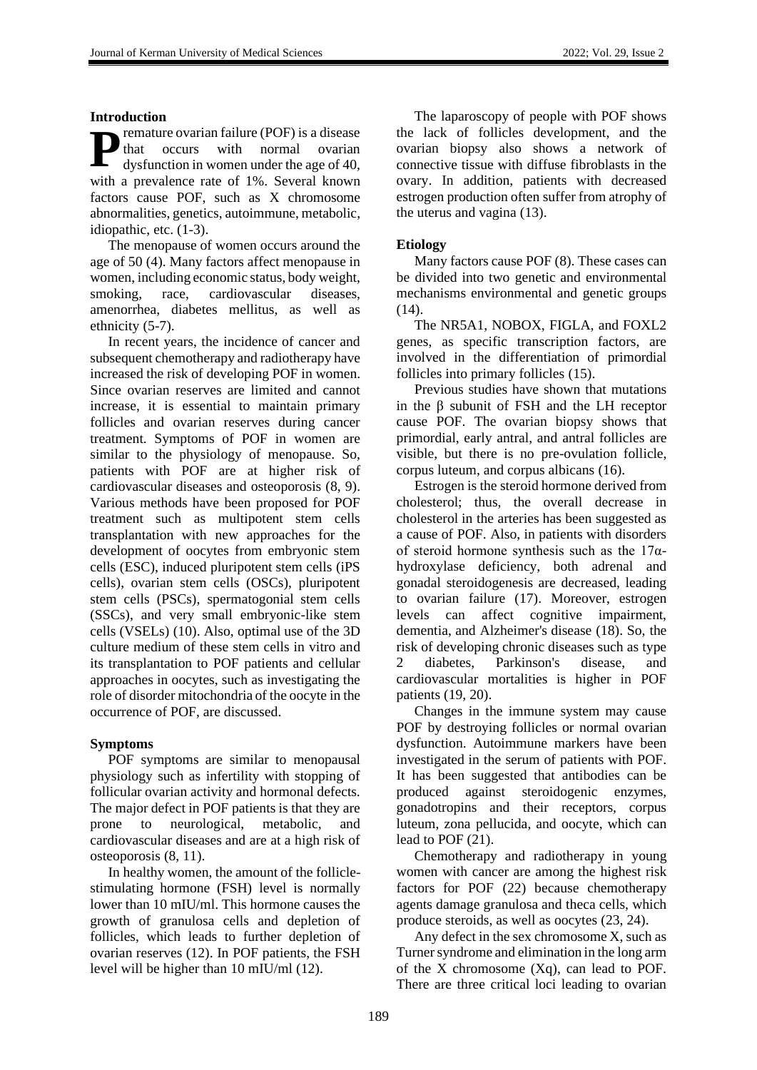### **Introduction**

remature ovarian failure (POF) is a disease that occurs with normal ovarian dysfunction in women under the age of 40, with a prevalence rate of 1%. Several known factors cause POF, such as X chromosome abnormalities, genetics, autoimmune, metabolic, idiopathic, etc. (1-3). **P**

The menopause of women occurs around the age of 50 (4). Many factors affect menopause in women, including economic status, body weight, smoking, race, cardiovascular diseases, amenorrhea, diabetes mellitus, as well as ethnicity (5-7).

In recent years, the incidence of cancer and subsequent chemotherapy and radiotherapy have increased the risk of developing POF in women. Since ovarian reserves are limited and cannot increase, it is essential to maintain primary follicles and ovarian reserves during cancer treatment. Symptoms of POF in women are similar to the physiology of menopause. So, patients with POF are at higher risk of cardiovascular diseases and osteoporosis (8, 9). Various methods have been proposed for POF treatment such as multipotent stem cells transplantation with new approaches for the development of oocytes from embryonic stem cells (ESC), induced pluripotent stem cells (iPS cells), ovarian stem cells (OSCs), pluripotent stem cells (PSCs), spermatogonial stem cells (SSCs), and very small embryonic-like stem cells (VSELs) (10). Also, optimal use of the 3D culture medium of these stem cells in vitro and its transplantation to POF patients and cellular approaches in oocytes, such as investigating the role of disorder mitochondria of the oocyte in the occurrence of POF, are discussed.

## **Symptoms**

POF symptoms are similar to menopausal physiology such as infertility with stopping of follicular ovarian activity and hormonal defects. The major defect in POF patients is that they are prone to neurological, metabolic, and cardiovascular diseases and are at a high risk of osteoporosis (8, 11).

In healthy women, the amount of the folliclestimulating hormone (FSH) level is normally lower than 10 mIU/ml. This hormone causes the growth of granulosa cells and depletion of follicles, which leads to further depletion of ovarian reserves (12). In POF patients, the FSH level will be higher than 10 mIU/ml (12).

The laparoscopy of people with POF shows the lack of follicles development, and the ovarian biopsy also shows a network of connective tissue with diffuse fibroblasts in the ovary. In addition, patients with decreased estrogen production often suffer from atrophy of the uterus and vagina (13).

## **Etiology**

Many factors cause POF (8). These cases can be divided into two genetic and environmental mechanisms environmental and genetic groups (14).

The NR5A1, NOBOX, FIGLA, and FOXL2 genes, as specific transcription factors, are involved in the differentiation of primordial follicles into primary follicles (15).

Previous studies have shown that mutations in the β subunit of FSH and the LH receptor cause POF. The ovarian biopsy shows that primordial, early antral, and antral follicles are visible, but there is no pre-ovulation follicle, corpus luteum, and corpus albicans (16).

Estrogen is the steroid hormone derived from cholesterol; thus, the overall decrease in cholesterol in the arteries has been suggested as a cause of POF. Also, in patients with disorders of steroid hormone synthesis such as the  $17\alpha$ hydroxylase deficiency, both adrenal and gonadal steroidogenesis are decreased, leading to ovarian failure (17). Moreover, estrogen levels can affect cognitive impairment, dementia, and Alzheimer's disease (18). So, the risk of developing chronic diseases such as type 2 diabetes, Parkinson's disease, and cardiovascular mortalities is higher in POF patients (19, 20).

Changes in the immune system may cause POF by destroying follicles or normal ovarian dysfunction. Autoimmune markers have been investigated in the serum of patients with POF. It has been suggested that antibodies can be produced against steroidogenic enzymes, gonadotropins and their receptors, corpus luteum, zona [pellucida,](https://www.google.com/search?q=zona+pellucida&spell=1&sa=X&ved=0ahUKEwihj-Wav8vbAhXIPFAKHQhBAqEQkeECCCEoAA&biw=1366&bih=664) and oocyte, which can lead to POF (21).

Chemotherapy and radiotherapy in young women with cancer are among the highest risk factors for POF (22) because chemotherapy agents damage granulosa and theca cells, which produce steroids, as well as oocytes (23, 24).

Any defect in the sex chromosome X, such as Turner syndrome and elimination in the long arm of the X chromosome (Xq), can lead to POF. There are three critical loci leading to ovarian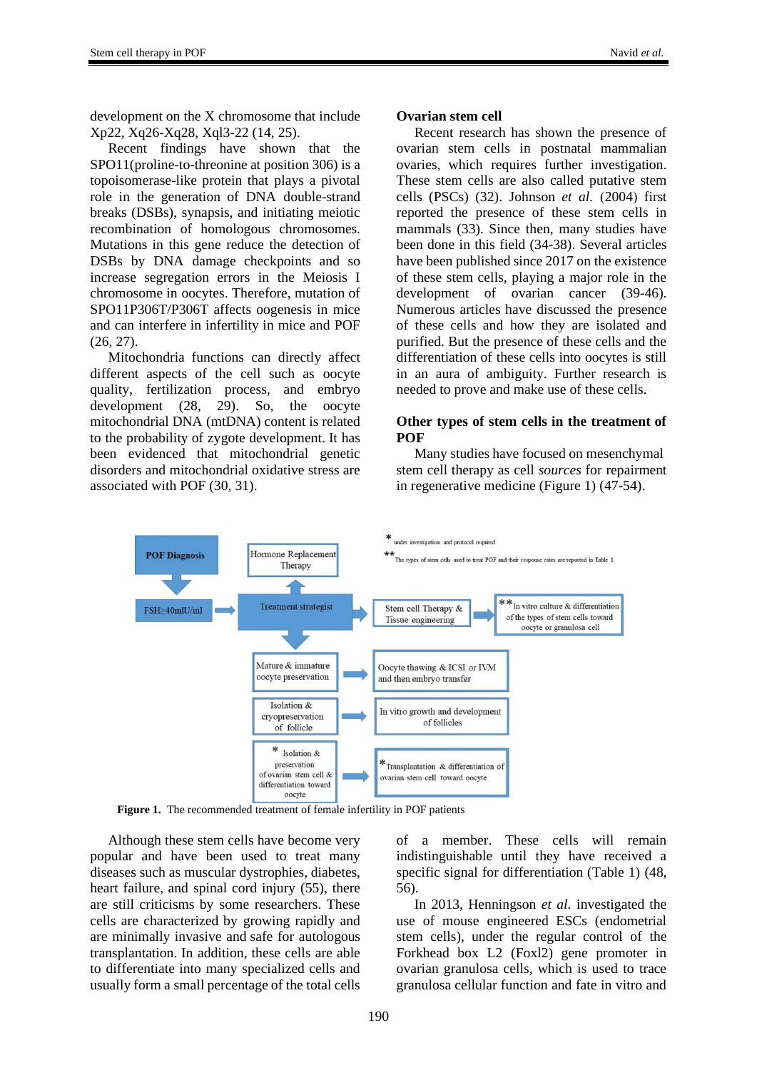development on the X chromosome that include Xp22, Xq26-Xq28, Xql3-22 (14, 25).

Recent findings have shown that the SPO11(proline-to-threonine at position 306) is a topoisomerase-like protein that plays a pivotal role in the generation of DNA double-strand breaks (DSBs), synapsis, and initiating meiotic recombination of homologous chromosomes. Mutations in this gene reduce the detection of DSBs by DNA damage checkpoints and so increase segregation errors in the Meiosis I chromosome in oocytes. Therefore, mutation of SPO11P306T/P306T affects oogenesis in mice and can interfere in infertility in mice and POF (26, 27).

Mitochondria functions can directly affect different aspects of the cell such as oocyte quality, fertilization process, and embryo development (28, 29). So, the oocyte mitochondrial DNA (mtDNA) content is related to the probability of zygote development. It has been evidenced that mitochondrial genetic disorders and mitochondrial oxidative stress are associated with POF (30, 31).

#### **Ovarian stem cell**

Recent research has shown the presence of ovarian stem cells in postnatal mammalian ovaries, which requires further investigation. These stem cells are also called putative stem cells (PSCs) (32). Johnson *et al.* (2004) first reported the presence of these stem cells in mammals (33). Since then, many studies have been done in this field (34-38). Several articles have been published since 2017 on the existence of these stem cells, playing a major role in the development of ovarian cancer (39-46). Numerous articles have discussed the presence of these cells and how they are isolated and purified. But the presence of these cells and the differentiation of these cells into oocytes is still in an aura of ambiguity. Further research is needed to prove and make use of these cells.

#### **Other types of stem cells in the treatment of POF**

Many studies have focused on mesenchymal stem cell therapy as cell *sources* for repairment in regenerative medicine (Figure 1) (47-54).



**Figure 1.** The recommended treatment of female infertility in POF patients

Although these stem cells have become very popular and have been used to treat many diseases such as muscular dystrophies, diabetes, heart failure, and spinal cord injury (55), there are still criticisms by some researchers. These cells are characterized by growing rapidly and are minimally invasive and safe for autologous transplantation. In addition, these cells are able to differentiate into many specialized cells and usually form a small percentage of the total cells

of a member. These cells will remain indistinguishable until they have received a specific signal for differentiation (Table 1) (48, 56).

In 2013, Henningson *et al.* investigated the use of mouse engineered ESCs (endometrial stem cells), under the regular control of the Forkhead box L2 (Foxl2) gene promoter in ovarian granulosa cells, which is used to trace granulosa cellular function and fate in vitro and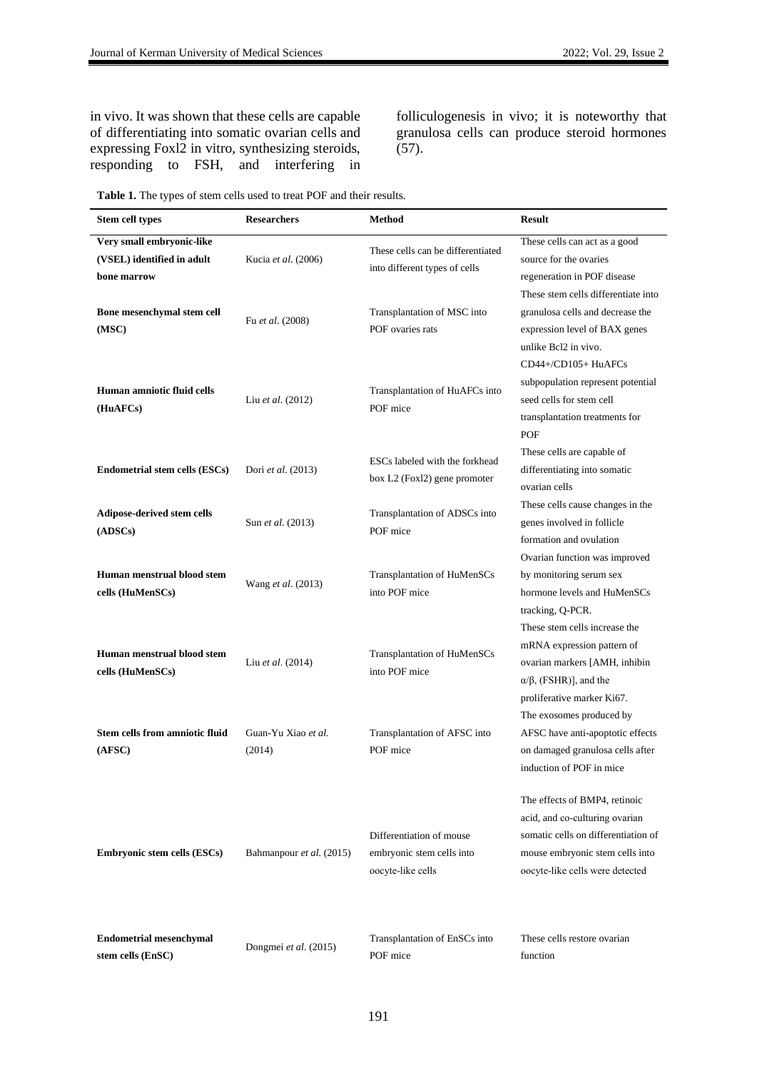in vivo. It was shown that these cells are capable of differentiating into somatic ovarian cells and expressing Foxl2 in vitro, synthesizing steroids, responding to FSH, and interfering in folliculogenesis in vivo; it is noteworthy that granulosa cells can produce steroid hormones  $(57)$ .

|  |  |  |  |  | <b>Table 1.</b> The types of stem cells used to treat POF and their results. |
|--|--|--|--|--|------------------------------------------------------------------------------|
|--|--|--|--|--|------------------------------------------------------------------------------|

| Stem cell types                                                        | <b>Researchers</b>            | Method                                                                     | <b>Result</b>                                                                                                                                                                |
|------------------------------------------------------------------------|-------------------------------|----------------------------------------------------------------------------|------------------------------------------------------------------------------------------------------------------------------------------------------------------------------|
| Very small embryonic-like<br>(VSEL) identified in adult<br>bone marrow | Kucia et al. (2006)           | These cells can be differentiated<br>into different types of cells         | These cells can act as a good<br>source for the ovaries<br>regeneration in POF disease<br>These stem cells differentiate into                                                |
| Bone mesenchymal stem cell<br>(MSC)                                    | Fu et al. (2008)              | Transplantation of MSC into<br>POF ovaries rats                            | granulosa cells and decrease the<br>expression level of BAX genes<br>unlike Bcl2 in vivo.                                                                                    |
| Human amniotic fluid cells<br>(HuAFCs)                                 | Liu et al. (2012)             | Transplantation of HuAFCs into<br>POF mice                                 | CD44+/CD105+ HuAFCs<br>subpopulation represent potential<br>seed cells for stem cell<br>transplantation treatments for<br>POF                                                |
| <b>Endometrial stem cells (ESCs)</b>                                   | Dori et al. (2013)            | ESCs labeled with the forkhead<br>box L2 (Foxl2) gene promoter             | These cells are capable of<br>differentiating into somatic<br>ovarian cells                                                                                                  |
| Adipose-derived stem cells<br>(ADSCs)                                  | Sun et al. (2013)             | Transplantation of ADSCs into<br>POF mice                                  | These cells cause changes in the<br>genes involved in follicle<br>formation and ovulation                                                                                    |
| Human menstrual blood stem<br>cells (HuMenSCs)                         | Wang et al. (2013)            | Transplantation of HuMenSCs<br>into POF mice                               | Ovarian function was improved<br>by monitoring serum sex<br>hormone levels and HuMenSCs<br>tracking, Q-PCR.                                                                  |
| Human menstrual blood stem<br>cells (HuMenSCs)                         | Liu et al. (2014)             | Transplantation of HuMenSCs<br>into POF mice                               | These stem cells increase the<br>mRNA expression pattern of<br>ovarian markers [AMH, inhibin<br>$\alpha/\beta$ , (FSHR)], and the<br>proliferative marker Ki67.              |
| <b>Stem cells from amniotic fluid</b><br>(AFSC)                        | Guan-Yu Xiao et al.<br>(2014) | Transplantation of AFSC into<br>POF mice                                   | The exosomes produced by<br>AFSC have anti-apoptotic effects<br>on damaged granulosa cells after<br>induction of POF in mice                                                 |
| <b>Embryonic stem cells (ESCs)</b>                                     | Bahmanpour et al. (2015)      | Differentiation of mouse<br>embryonic stem cells into<br>oocyte-like cells | The effects of BMP4, retinoic<br>acid, and co-culturing ovarian<br>somatic cells on differentiation of<br>mouse embryonic stem cells into<br>oocyte-like cells were detected |
| <b>Endometrial mesenchymal</b><br>stem cells (EnSC)                    | Dongmei et al. (2015)         | Transplantation of EnSCs into<br>POF mice                                  | These cells restore ovarian<br>function                                                                                                                                      |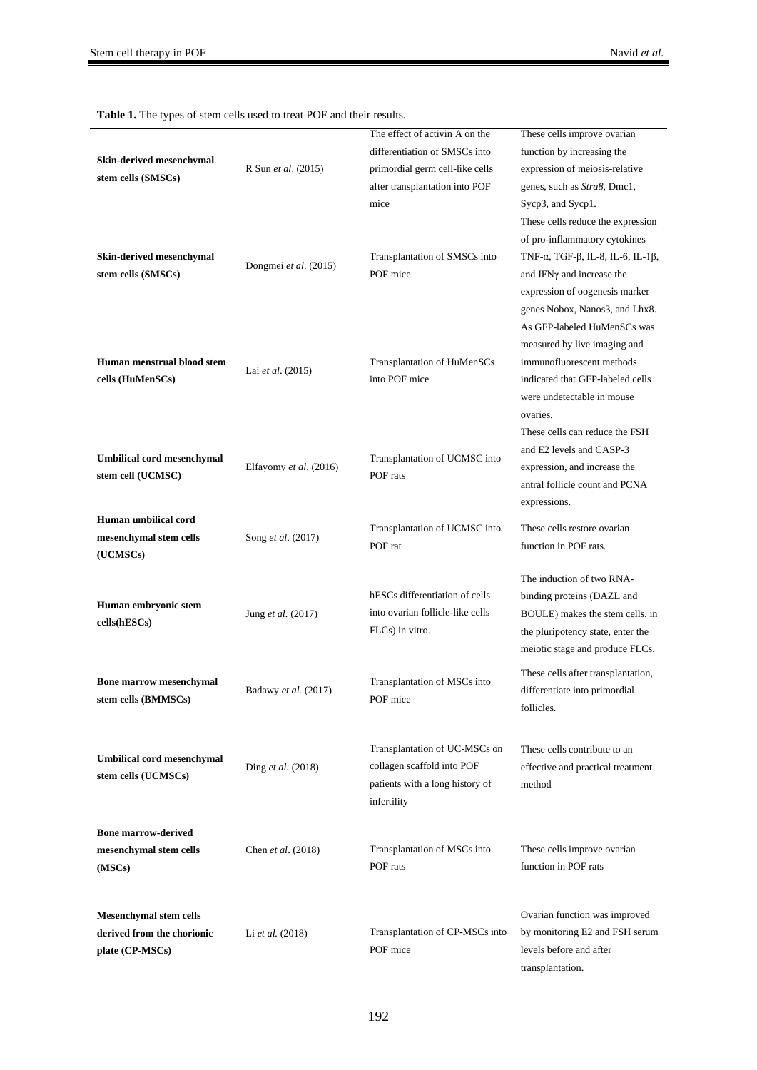| Skin-derived mesenchymal<br>stem cells (SMSCs)                                 | R Sun et al. (2015)    | The effect of activin A on the<br>differentiation of SMSCs into<br>primordial germ cell-like cells<br>after transplantation into POF<br>mice | These cells improve ovarian<br>function by increasing the<br>expression of meiosis-relative<br>genes, such as Stra8, Dmc1,<br>Sycp3, and Sycp1.<br>These cells reduce the expression        |
|--------------------------------------------------------------------------------|------------------------|----------------------------------------------------------------------------------------------------------------------------------------------|---------------------------------------------------------------------------------------------------------------------------------------------------------------------------------------------|
| Skin-derived mesenchymal<br>stem cells (SMSCs)                                 | Dongmei et al. (2015)  | Transplantation of SMSCs into<br>POF mice                                                                                                    | of pro-inflammatory cytokines<br>TNF- $\alpha$ , TGF- $\beta$ , IL-8, IL-6, IL-1 $\beta$ ,<br>and IFNy and increase the<br>expression of oogenesis marker<br>genes Nobox, Nanos3, and Lhx8. |
| Human menstrual blood stem<br>cells (HuMenSCs)                                 | Lai et al. (2015)      | Transplantation of HuMenSCs<br>into POF mice                                                                                                 | As GFP-labeled HuMenSCs was<br>measured by live imaging and<br>immunofluorescent methods<br>indicated that GFP-labeled cells<br>were undetectable in mouse<br>ovaries.                      |
| <b>Umbilical cord mesenchymal</b><br>stem cell (UCMSC)                         | Elfayomy et al. (2016) | Transplantation of UCMSC into<br>POF rats                                                                                                    | These cells can reduce the FSH<br>and E2 levels and CASP-3<br>expression, and increase the<br>antral follicle count and PCNA<br>expressions.                                                |
| Human umbilical cord<br>mesenchymal stem cells<br>(UCMSCs)                     | Song et al. (2017)     | Transplantation of UCMSC into<br>POF rat                                                                                                     | These cells restore ovarian<br>function in POF rats.                                                                                                                                        |
| Human embryonic stem<br>cells(hESCs)                                           | Jung et al. (2017)     | hESCs differentiation of cells<br>into ovarian follicle-like cells<br>FLCs) in vitro.                                                        | The induction of two RNA-<br>binding proteins (DAZL and<br>BOULE) makes the stem cells, in<br>the pluripotency state, enter the<br>meiotic stage and produce FLCs.                          |
| <b>Bone marrow mesenchymal</b><br>stem cells (BMMSCs)                          | Badawy et al. (2017)   | Transplantation of MSCs into<br>POF mice                                                                                                     | These cells after transplantation,<br>differentiate into primordial<br>follicles.                                                                                                           |
| <b>Umbilical cord mesenchymal</b><br>stem cells (UCMSCs)                       | Ding et al. (2018)     | Transplantation of UC-MSCs on<br>collagen scaffold into POF<br>patients with a long history of<br>infertility                                | These cells contribute to an<br>effective and practical treatment<br>method                                                                                                                 |
| <b>Bone marrow-derived</b><br>mesenchymal stem cells<br>(MSCs)                 | Chen et al. (2018)     | Transplantation of MSCs into<br>POF rats                                                                                                     | These cells improve ovarian<br>function in POF rats                                                                                                                                         |
| <b>Mesenchymal stem cells</b><br>derived from the chorionic<br>plate (CP-MSCs) | Li et al. (2018)       | Transplantation of CP-MSCs into<br>POF mice                                                                                                  | Ovarian function was improved<br>by monitoring E2 and FSH serum<br>levels before and after<br>transplantation.                                                                              |

**Table 1.** The types of stem cells used to treat POF and their results.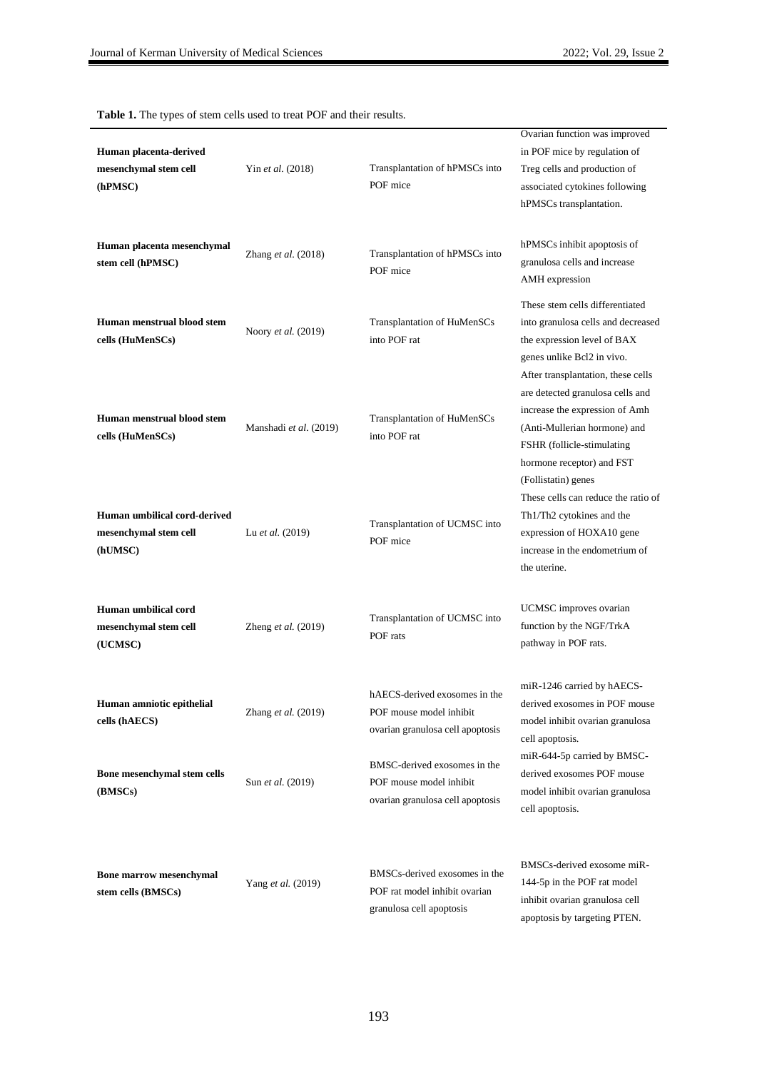apoptosis by targeting PTEN.

**Human placenta-derived mesenchymal stem cell (hPMSC)** [Yin](javascript:;) *et al.* (2018) Transplantation of hPMSCs into POF mice Ovarian function was improved in POF mice by regulation of Treg cells and production of associated cytokines following hPMSCs transplantation. **Human placenta mesenchymal stem cell (hPMSC)** Zhang *et al.* (2018) Transplantation of hPMSCs into POF mice hPMSCs inhibit apoptosis of granulosa cells and increase AMH expression **Human menstrual blood stem cells (HuMenSCs)** Noory *et al.* (2019) Transplantation of HuMenSCs into POF rat These stem cells differentiated into granulosa cells and decreased the expression level of BAX genes unlike Bcl2 in vivo. **Human menstrual blood stem cells (HuMenSCs)** Manshadi *et al*. (2019) Transplantation of HuMenSCs into POF rat After transplantation, these cells are detected granulosa cells and increase the expression of Amh (Anti-Mullerian hormone) and FSHR (follicle-stimulating hormone receptor) and FST (Follistatin) genes **Human umbilical cord-derived mesenchymal stem cell (hUMSC)** Lu *et al.* (2019) Transplantation of UCMSC into POF mice These cells can reduce the ratio of Th1/Th2 cytokines and the expression of HOXA10 gene increase in the endometrium of the uterine. **Human umbilical cord mesenchymal stem cell (UCMSC)** Zheng *et al.* (2019) Transplantation of UCMSC into POF rats UCMSC improves ovarian function by the NGF/TrkA pathway in POF rats. **Human amniotic epithelial cells (hAECS)** [Zhang](https://www.sciencedirect.com/science/article/pii/S216225311930068X#!) *et al.* (2019) hAECS-derived exosomes in the POF mouse model inhibit ovarian granulosa cell apoptosis miR-1246 carried by hAECSderived exosomes in POF mouse model inhibit ovarian granulosa cell apoptosis. **Bone mesenchymal stem cells (BMSCs)** [Sun](javascript:;) *et al.* (2019) BMSC-derived exosomes in the POF mouse model inhibit ovarian granulosa cell apoptosis miR-644-5p carried by BMSCderived exosomes POF mouse model inhibit ovarian granulosa cell apoptosis. **Bone marrow mesenchymal stem cells (BMSCs)** [Yang](javascript:;) *et al.* (2019) BMSCs-derived exosomes in the POF rat model inhibit ovarian granulosa cell apoptosis BMSCs-derived exosome miR-144-5p in the POF rat model inhibit ovarian granulosa cell

**Table 1.** The types of stem cells used to treat POF and their results.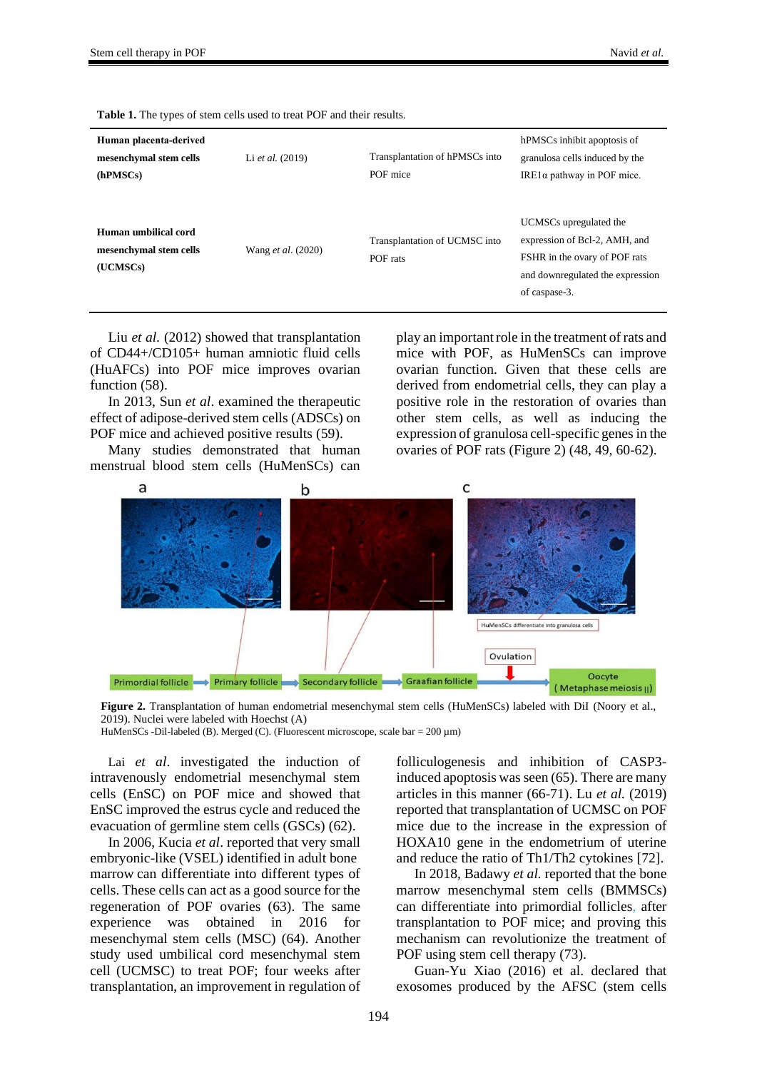| Human placenta-derived<br>mesenchymal stem cells           | Li et al. (2019)          | Transplantation of hPMSCs into            | hPMSCs inhibit apoptosis of<br>granulosa cells induced by the                                                                                 |
|------------------------------------------------------------|---------------------------|-------------------------------------------|-----------------------------------------------------------------------------------------------------------------------------------------------|
| (hPMSCs)                                                   |                           |                                           | IRE1 $α$ pathway in POF mice.                                                                                                                 |
| Human umbilical cord<br>mesenchymal stem cells<br>(UCMSCs) | Wang <i>et al.</i> (2020) | Transplantation of UCMSC into<br>POF rats | UCMSCs upregulated the<br>expression of Bcl-2, AMH, and<br>FSHR in the ovary of POF rats<br>and downregulated the expression<br>of caspase-3. |

**Table 1.** The types of stem cells used to treat POF and their results.

Liu *et al.* (2012) showed that transplantation of CD44+/CD105+ human amniotic fluid cells (HuAFCs) into POF mice improves ovarian function  $(58)$ .

In 2013, Sun *et al*. examined the therapeutic effect of adipose-derived stem cells (ADSCs) on POF mice and achieved positive results (59).

Many studies demonstrated that human menstrual blood stem cells (HuMenSCs) can play an important role in the treatment of rats and mice with POF, as HuMenSCs can improve ovarian function. Given that these cells are derived from endometrial cells, they can play a positive role in the restoration of ovaries than other stem cells, as well as inducing the expression of granulosa cell-specific genes in the ovaries of POF rats (Figure 2) (48, 49, 60-62).



Figure 2. Transplantation of human endometrial mesenchymal stem cells (HuMenSCs) labeled with DiI (Noory et al., 2019). Nuclei were labeled with Hoechst (A)

HuMenSCs -Dil-labeled (B). Merged (C). (Fluorescent microscope, scale bar = 200 µm)

Lai *et al*. investigated the induction of intravenously endometrial mesenchymal stem cells (EnSC) on POF mice and showed that EnSC improved the estrus cycle and reduced the evacuation of germline stem cells (GSCs) (62).

In 2006, Kucia *et al*. reported that very small embryonic-like (VSEL) identified in adult bone marrow can differentiate into different types of cells. These cells can act as a good source for the regeneration of POF ovaries (63). The same experience was obtained in 2016 for mesenchymal stem cells (MSC) (64). Another study used umbilical cord mesenchymal stem cell (UCMSC) to treat POF; four weeks after transplantation, an improvement in regulation of folliculogenesis and inhibition of CASP3 induced apoptosis was seen (65). There are many articles in this manner (66-71). Lu *et al.* (2019) reported that transplantation of UCMSC on POF mice due to the increase in the expression of HOXA10 gene in the endometrium of uterine and reduce the ratio of Th1/Th2 cytokines [72].

In 2018, [Badawy](https://scholar.google.com/citations?user=ezrPsaEAAAAJ&hl=en&oi=sra) *et al.* reported that the bone marrow mesenchymal stem cells (BMMSCs) can differentiate into primordial follicles, after transplantation to POF mice; and proving this mechanism can revolutionize the treatment of POF using stem cell therapy (73).

Guan-Yu Xiao (2016) et al. declared that exosomes produced by the AFSC (stem cells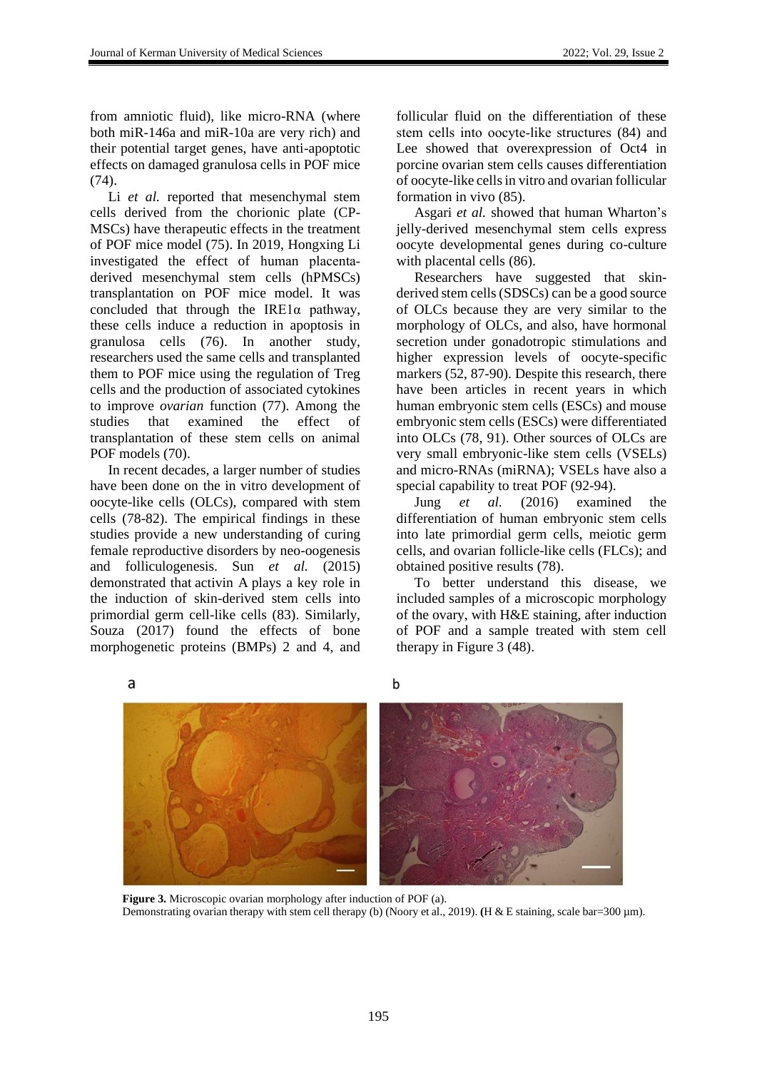from amniotic fluid), like micro-RNA (where both miR-146a and miR-10a are very rich) and their potential target genes, have anti-apoptotic effects on damaged granulosa cells in POF mice (74).

[Li](javascript:;) *et al.* reported that mesenchymal stem cells derived from the chorionic plate (CP-MSCs) have therapeutic effects in the treatment of POF mice model (75). In 2019, [Hongxing Li](https://onlinelibrary.wiley.com/action/doSearch?ContribAuthorStored=Li%2C+Hongxing) investigated the effect of human placenta‐ derived mesenchymal stem cells (hPMSCs) transplantation on POF mice model. It was concluded that through the IRE1α pathway, these cells induce a reduction in apoptosis in granulosa cells (76). In another study, researchers used the same cells and transplanted them to POF mice using the regulation of Treg cells and the production of associated cytokines to improve *ovarian* function (77). Among the studies that examined the effect of transplantation of these stem cells on animal POF models (70).

In recent decades, a larger number of studies have been done on the in vitro development of oocyte-like cells (OLCs), compared with stem cells (78-82). The empirical findings in these studies provide a new understanding of curing female reproductive disorders by neo-oogenesis and folliculogenesis. Sun *et al.* (2015) demonstrated that activin A plays a key role in the induction of skin-derived stem cells into primordial germ cell-like cells (83). Similarly, Souza (2017) found the effects of bone morphogenetic proteins (BMPs) 2 and 4, and follicular fluid on the differentiation of these stem cells into oocyte‐like structures (84) and Lee showed that overexpression of Oct4 in porcine ovarian stem cells causes differentiation of oocyte-like cells in vitro and ovarian follicular formation in vivo (85).

Asgari *et al.* showed that human Wharton's jelly-derived mesenchymal stem cells express oocyte developmental genes during co-culture with placental cells (86).

Researchers have suggested that skinderived stem cells (SDSCs) can be a good source of OLCs because they are very similar to the morphology of OLCs, and also, have hormonal secretion under gonadotropic stimulations and higher expression levels of oocyte-specific markers (52, 87-90). Despite this research, there have been articles in recent years in which human embryonic stem cells (ESCs) and mouse embryonic stem cells (ESCs) were differentiated into OLCs (78, 91). Other sources of OLCs are very small embryonic-like stem cells (VSELs) and micro-RNAs (miRNA); VSELs have also a special capability to treat POF (92-94).

Jung *et al.* (2016) examined the differentiation of human embryonic stem cells into late primordial germ cells, meiotic germ cells, and ovarian follicle-like cells (FLCs); and obtained positive results (78).

To better understand this disease, we included samples of a microscopic morphology of the ovary, with H&E staining, after induction of POF and a sample treated with stem cell therapy in Figure 3 (48).







**Figure 3.** Microscopic ovarian morphology after induction of POF (a). Demonstrating ovarian therapy with stem cell therapy (b) (Noory et al., 2019). **(**H & E staining, scale bar=300 µm).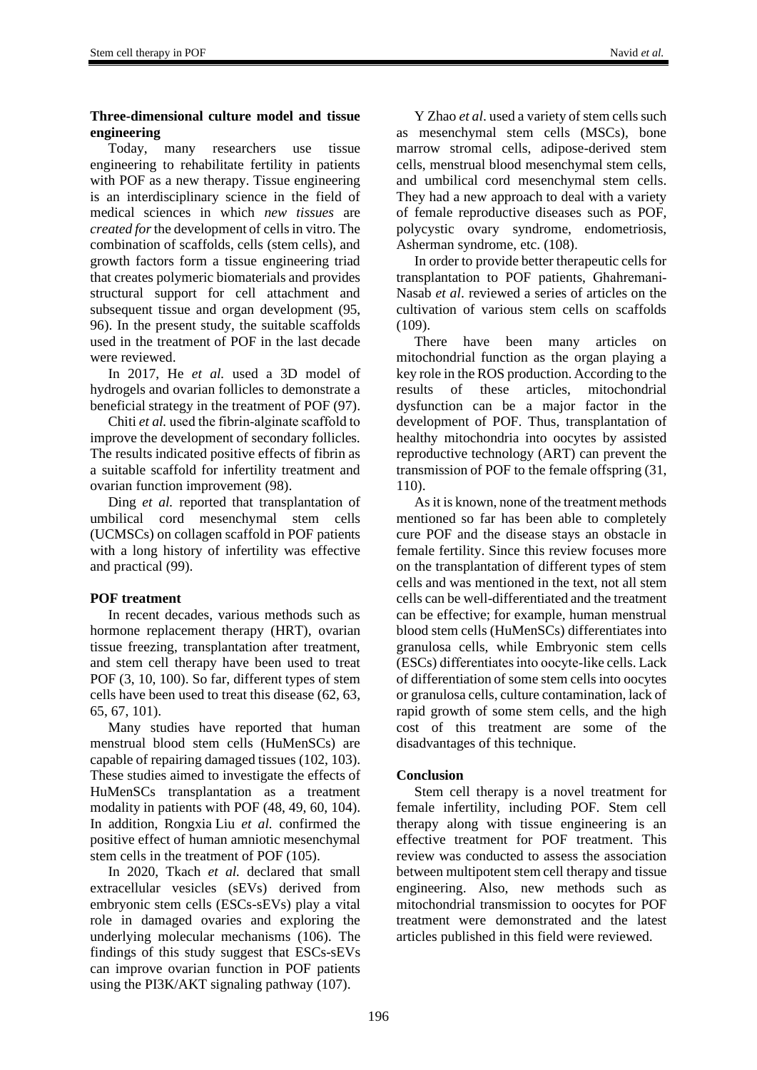### **Three-dimensional culture model and tissue engineering**

Today, many researchers use tissue engineering to rehabilitate fertility in patients with POF as a new therapy. Tissue engineering is an interdisciplinary science in the field of medical sciences in which *new tissues* are *created for*the development of cells in vitro. The combination of scaffolds, cells (stem cells), and growth factors form a tissue engineering triad that creates polymeric biomaterials and provides structural support for cell attachment and subsequent tissue and organ development (95, 96). In the present study, the suitable scaffolds used in the treatment of POF in the last decade were reviewed.

In 2017, He *et al.* used a 3D model of hydrogels and ovarian follicles to demonstrate a beneficial strategy in the treatment of POF (97).

Chiti *et al.* used the fibrin‐alginate scaffold to improve the development of secondary follicles. The results indicated positive effects of fibrin as a suitable scaffold for infertility treatment and ovarian function improvement (98).

[Ding](javascript:;) *et al.* reported that transplantation of umbilical cord mesenchymal stem cells (UCMSCs) on collagen scaffold in POF patients with a long history of infertility was effective and practical (99).

## **POF treatment**

In recent decades, various methods such as hormone replacement therapy (HRT), ovarian tissue freezing, transplantation after treatment, and stem cell therapy have been used to treat POF (3, 10, 100). So far, different types of stem cells have been used to treat this disease (62, 63, 65, 67, 101).

Many studies have reported that human menstrual blood stem cells (HuMenSCs) are capable of repairing damaged tissues (102, 103). These studies aimed to investigate the effects of HuMenSCs transplantation as a treatment modality in patients with POF (48, 49, 60, 104). In addition, Rongxia Liu *et al.* confirmed the positive effect of human amniotic mesenchymal stem cells in the treatment of POF (105).

In 2020, Tkach *et al.* declared that small extracellular vesicles (sEVs) derived from embryonic stem cells (ESCs-sEVs) play a vital role in damaged ovaries and exploring the underlying molecular mechanisms (106). The findings of this study suggest that ESCs-sEVs can improve ovarian function in POF patients using the PI3K/AKT signaling pathway (107).

Y Zhao *et al*. used a variety of stem cells such as mesenchymal stem cells (MSCs), bone marrow stromal cells, adipose-derived stem cells, menstrual blood mesenchymal stem cells, and umbilical cord mesenchymal stem cells. They had a new approach to deal with a variety of female reproductive diseases such as POF, polycystic ovary syndrome, endometriosis, Asherman syndrome, etc. (108).

In order to provide better therapeutic cells for transplantation to POF patients, Ghahremani‐ Nasab *et al*. reviewed a series of articles on the cultivation of various stem cells on scaffolds (109).

There have been many articles on mitochondrial function as the organ playing a key role in the ROS production. According to the results of these articles, mitochondrial dysfunction can be a major factor in the development of POF. Thus, transplantation of healthy mitochondria into oocytes by assisted reproductive technology (ART) can prevent the transmission of POF to the female offspring (31, 110).

As it is known, none of the treatment methods mentioned so far has been able to completely cure POF and the disease stays an obstacle in female fertility. Since this review focuses more on the transplantation of different types of stem cells and was mentioned in the text, not all stem cells can be well-differentiated and the treatment can be effective; for example, human menstrual blood stem cells (HuMenSCs) differentiates into granulosa cells, while Embryonic stem cells (ESCs) differentiates into oocyte‐like cells. Lack of differentiation of some stem cells into oocytes or granulosa cells, culture contamination, lack of rapid growth of some stem cells, and the high cost of this treatment are some of the disadvantages of this technique.

## **Conclusion**

Stem cell therapy is a novel treatment for female infertility, including POF. Stem cell therapy along with tissue engineering is an effective treatment for POF treatment. This review was conducted to assess the association between multipotent stem cell therapy and tissue engineering. Also, new methods such as mitochondrial transmission to oocytes for POF treatment were demonstrated and the latest articles published in this field were reviewed.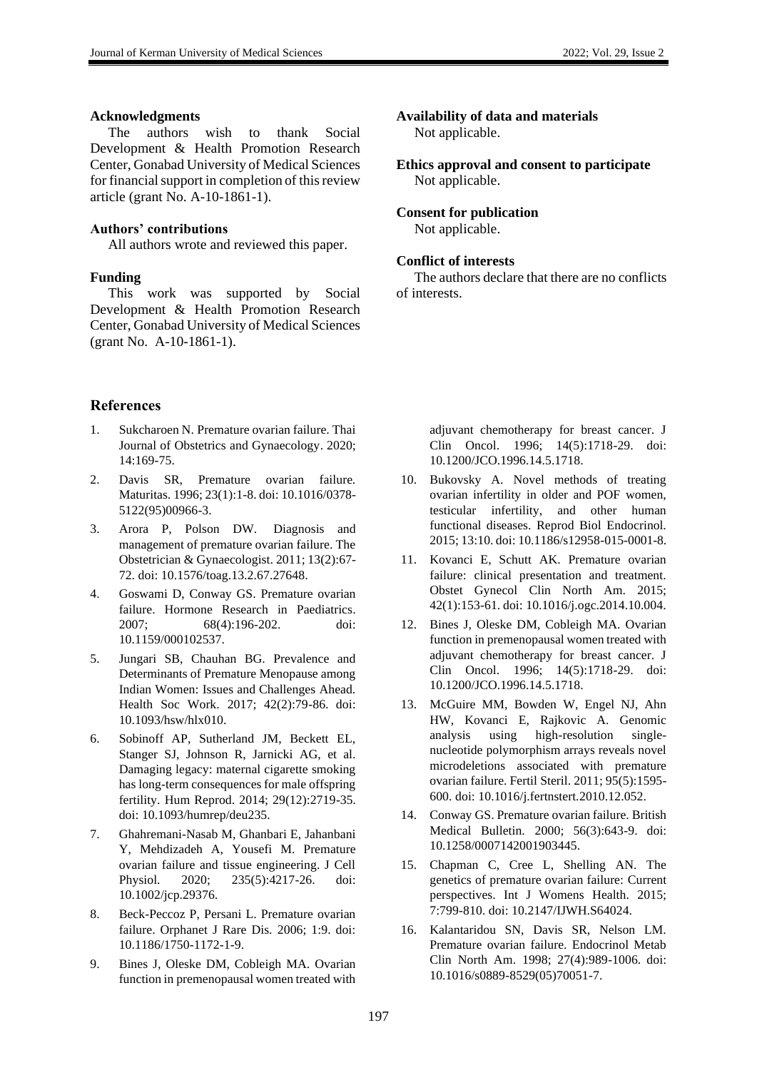#### **Acknowledgments**

The authors wish to thank Social Development & Health Promotion Research Center, Gonabad University of Medical Sciences for financial support in completion of this review article (grant No. A-10-1861-1).

### **Authors' contributions**

All authors wrote and reviewed this paper.

## **Funding**

This work was supported by Social Development & Health Promotion Research Center, Gonabad University of Medical Sciences (grant No. A-10-1861-1).

## **References**

- 1. Sukcharoen N. Premature ovarian failure. Thai Journal of Obstetrics and Gynaecology. 2020; 14:169-75.
- 2. Davis SR, Premature ovarian failure. Maturitas. 1996; 23(1):1-8. doi: 10.1016/0378- 5122(95)00966-3.
- 3. Arora P, Polson DW. Diagnosis and management of premature ovarian failure. The Obstetrician & Gynaecologist. 2011; 13(2):67- 72. doi: 10.1576/toag.13.2.67.27648.
- 4. Goswami D, Conway GS. Premature ovarian failure. Hormone Research in Paediatrics. 2007; 68(4):196-202. doi: 10.1159/000102537.
- 5. Jungari SB, Chauhan BG. Prevalence and Determinants of Premature Menopause among Indian Women: Issues and Challenges Ahead. Health Soc Work. 2017; 42(2):79-86. doi: 10.1093/hsw/hlx010.
- 6. Sobinoff AP, Sutherland JM, Beckett EL, Stanger SJ, Johnson R, Jarnicki AG, et al. Damaging legacy: maternal cigarette smoking has long-term consequences for male offspring fertility. Hum Reprod. 2014; 29(12):2719-35. doi: 10.1093/humrep/deu235.
- 7. Ghahremani-Nasab M, Ghanbari E, Jahanbani Y, Mehdizadeh A, Yousefi M. Premature ovarian failure and tissue engineering. J Cell Physiol. 2020; 235(5):4217-26. doi: 10.1002/jcp.29376.
- 8. Beck-Peccoz P, Persani L. Premature ovarian failure. Orphanet J Rare Dis. 2006; 1:9. doi: 10.1186/1750-1172-1-9.
- 9. Bines J, Oleske DM, Cobleigh MA. Ovarian function in premenopausal women treated with

# **Availability of data and materials**

Not applicable.

**Ethics approval and consent to participate** Not applicable.

### **Consent for publication**

Not applicable.

## **Conflict of interests**

The authors declare that there are no conflicts of interests.

> adjuvant chemotherapy for breast cancer. J Clin Oncol. 1996; 14(5):1718-29. doi: 10.1200/JCO.1996.14.5.1718.

- 10. Bukovsky A. Novel methods of treating ovarian infertility in older and POF women, testicular infertility, and other human functional diseases. Reprod Biol Endocrinol. 2015; 13:10. doi: 10.1186/s12958-015-0001-8.
- 11. Kovanci E, Schutt AK. Premature ovarian failure: clinical presentation and treatment. Obstet Gynecol Clin North Am. 2015; 42(1):153-61. doi: 10.1016/j.ogc.2014.10.004.
- 12. Bines J, Oleske DM, Cobleigh MA. Ovarian function in premenopausal women treated with adjuvant chemotherapy for breast cancer. J Clin Oncol. 1996; 14(5):1718-29. doi: 10.1200/JCO.1996.14.5.1718.
- 13. McGuire MM, Bowden W, Engel NJ, Ahn HW, Kovanci E, Rajkovic A. Genomic analysis using high-resolution singlenucleotide polymorphism arrays reveals novel microdeletions associated with premature ovarian failure. Fertil Steril. 2011; 95(5):1595- 600. doi: 10.1016/j.fertnstert.2010.12.052.
- 14. Conway GS. Premature ovarian failure. British Medical Bulletin. 2000; 56(3):643-9. doi: 10.1258/0007142001903445.
- 15. Chapman C, Cree L, Shelling AN. The genetics of premature ovarian failure: Current perspectives. Int J Womens Health. 2015; 7:799-810. doi: 10.2147/IJWH.S64024.
- 16. Kalantaridou SN, Davis SR, Nelson LM. Premature ovarian failure. Endocrinol Metab Clin North Am. 1998; 27(4):989-1006. doi: 10.1016/s0889-8529(05)70051-7.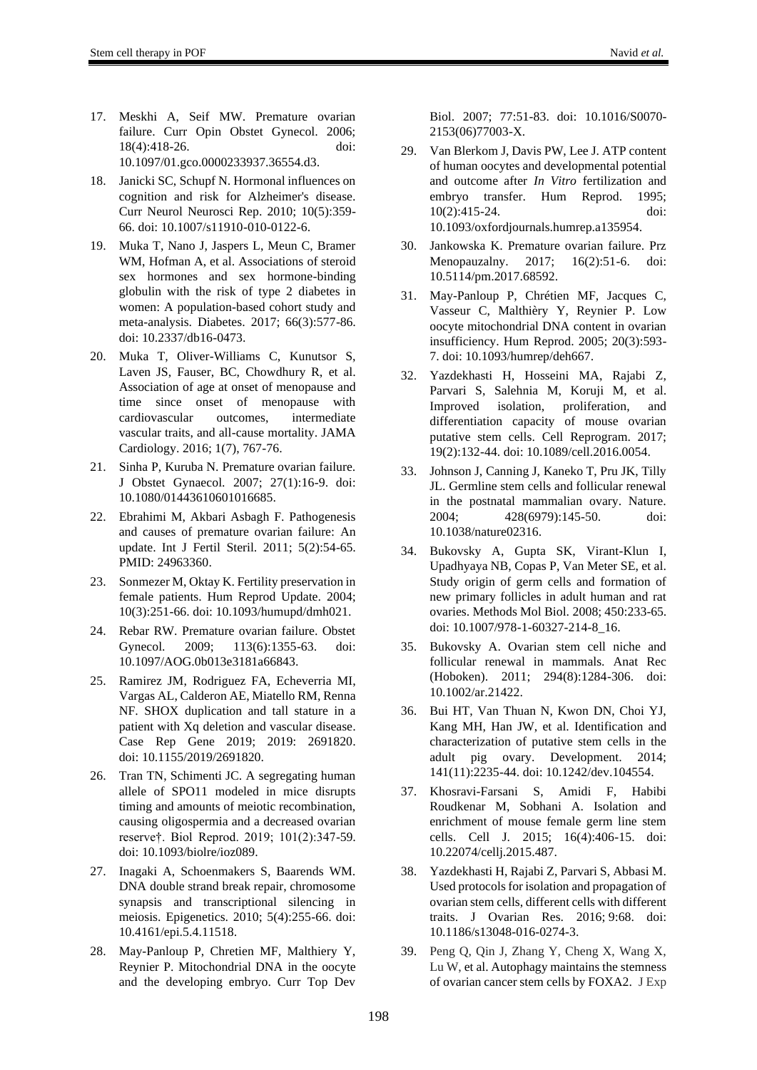- 17. Meskhi A, Seif MW. Premature ovarian failure. Curr Opin Obstet Gynecol. 2006; 18(4):418-26. doi: 10.1097/01.gco.0000233937.36554.d3.
- 18. Janicki SC, Schupf N. Hormonal influences on cognition and risk for Alzheimer's disease. Curr Neurol Neurosci Rep. 2010; 10(5):359- 66. doi: 10.1007/s11910-010-0122-6.
- 19. Muka T, Nano J, Jaspers L, Meun C, Bramer WM, Hofman A, et al. Associations of steroid sex hormones and sex hormone-binding globulin with the risk of type 2 diabetes in women: A population-based cohort study and meta-analysis. Diabetes. 2017; 66(3):577-86. doi: 10.2337/db16-0473.
- 20. Muka T, Oliver-Williams C, Kunutsor S, Laven JS, Fauser, BC, Chowdhury R, et al. Association of age at onset of menopause and time since onset of menopause with cardiovascular outcomes, intermediate vascular traits, and all-cause mortality. JAMA Cardiology. 2016; 1(7), 767-76.
- 21. Sinha P, Kuruba N. Premature ovarian failure. J Obstet Gynaecol. 2007; 27(1):16-9. doi: 10.1080/01443610601016685.
- 22. Ebrahimi M, Akbari Asbagh F. Pathogenesis and causes of premature ovarian failure: An update. Int J Fertil Steril. 2011; 5(2):54-65. PMID: 24963360.
- 23. Sonmezer M, Oktay K. Fertility preservation in female patients. Hum Reprod Update. 2004; 10(3):251-66. doi: 10.1093/humupd/dmh021.
- 24. Rebar RW. Premature ovarian failure. Obstet Gynecol. 2009; 113(6):1355-63. doi: 10.1097/AOG.0b013e3181a66843.
- 25. Ramirez JM, Rodriguez FA, Echeverria MI, Vargas AL, Calderon AE, Miatello RM, Renna NF. SHOX duplication and tall stature in a patient with Xq deletion and vascular disease. Case Rep Gene 2019; 2019: 2691820. doi: 10.1155/2019/2691820.
- 26. Tran TN, Schimenti JC. A segregating human allele of SPO11 modeled in mice disrupts timing and amounts of meiotic recombination, causing oligospermia and a decreased ovarian reserve†. Biol Reprod. 2019; 101(2):347-59. doi: 10.1093/biolre/ioz089.
- 27. Inagaki A, Schoenmakers S, Baarends WM. DNA double strand break repair, chromosome synapsis and transcriptional silencing in meiosis. Epigenetics. 2010; 5(4):255-66. doi: 10.4161/epi.5.4.11518.
- 28. May-Panloup P, Chretien MF, Malthiery Y, Reynier P. Mitochondrial DNA in the oocyte and the developing embryo. Curr Top Dev

Biol. 2007; 77:51-83. doi: 10.1016/S0070- 2153(06)77003-X.

- 29. Van Blerkom J, Davis PW, Lee J. ATP content of human oocytes and developmental potential and outcome after *In Vitro* fertilization and embryo transfer. Hum Reprod. 1995; 10(2):415-24. doi: 10.1093/oxfordjournals.humrep.a135954.
- 30. Jankowska K. Premature ovarian failure. Prz Menopauzalny. 2017; 16(2):51-6. doi: 10.5114/pm.2017.68592.
- 31. May-Panloup P, Chrétien MF, Jacques C, Vasseur C, Malthièry Y, Reynier P. Low oocyte mitochondrial DNA content in ovarian insufficiency. Hum Reprod. 2005; 20(3):593- 7. doi: 10.1093/humrep/deh667.
- 32. Yazdekhasti H, Hosseini MA, Rajabi Z, Parvari S, Salehnia M, Koruji M, et al. Improved isolation, proliferation, and differentiation capacity of mouse ovarian putative stem cells. Cell Reprogram. 2017; 19(2):132-44. doi: 10.1089/cell.2016.0054.
- 33. Johnson J, Canning J, Kaneko T, Pru JK, Tilly JL. Germline stem cells and follicular renewal in the postnatal mammalian ovary. Nature. 2004; 428(6979):145-50. doi: 10.1038/nature02316.
- 34. Bukovsky A, Gupta SK, Virant-Klun I, Upadhyaya NB, Copas P, Van Meter SE, et al. Study origin of germ cells and formation of new primary follicles in adult human and rat ovaries. Methods Mol Biol. 2008; 450:233-65. doi: 10.1007/978-1-60327-214-8\_16.
- 35. Bukovsky A. Ovarian stem cell niche and follicular renewal in mammals. Anat Rec (Hoboken). 2011; 294(8):1284-306. doi: 10.1002/ar.21422.
- 36. Bui HT, Van Thuan N, Kwon DN, Choi YJ, Kang MH, Han JW, et al. Identification and characterization of putative stem cells in the adult pig ovary. Development. 2014; 141(11):2235-44. doi: 10.1242/dev.104554.
- 37. Khosravi-Farsani S, Amidi F, Habibi Roudkenar M, Sobhani A. Isolation and enrichment of mouse female germ line stem cells. Cell J. 2015; 16(4):406-15. doi: 10.22074/cellj.2015.487.
- 38. Yazdekhasti H, Rajabi Z, Parvari S, Abbasi M. Used protocols for isolation and propagation of ovarian stem cells, different cells with different traits. J Ovarian Res. 2016; 9:68. doi: 10.1186/s13048-016-0274-3.
- 39. Peng Q, Qin J, Zhang Y, Cheng X, Wang X, Lu W, et al. Autophagy maintains the stemness of ovarian cancer stem cells by FOXA2. J Exp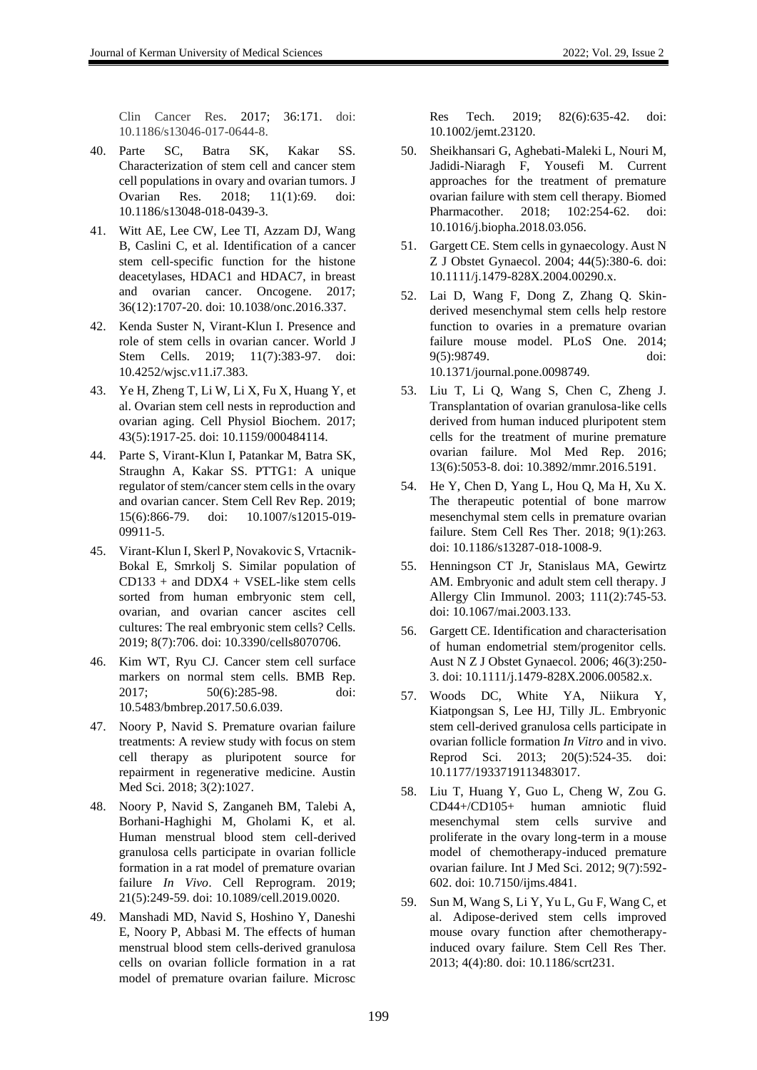- 40. Parte SC, Batra SK, Kakar SS. Characterization of stem cell and cancer stem cell populations in ovary and ovarian tumors. J Ovarian Res. 2018; 11(1):69. doi: 10.1186/s13048-018-0439-3.
- 41. Witt AE, Lee CW, Lee TI, Azzam DJ, Wang B, Caslini C, et al. Identification of a cancer stem cell-specific function for the histone deacetylases, HDAC1 and HDAC7, in breast and ovarian cancer. Oncogene. 2017; 36(12):1707-20. doi: 10.1038/onc.2016.337.
- 42. Kenda Suster N, Virant-Klun I. Presence and role of stem cells in ovarian cancer. World J Stem Cells. 2019; 11(7):383-97. doi: 10.4252/wjsc.v11.i7.383.
- 43. Ye H, Zheng T, Li W, Li X, Fu X, Huang Y, et al. Ovarian stem cell nests in reproduction and ovarian aging. Cell Physiol Biochem. 2017; 43(5):1917-25. doi: 10.1159/000484114.
- 44. Parte S, Virant-Klun I, Patankar M, Batra SK, Straughn A, Kakar SS. PTTG1: A unique regulator of stem/cancer stem cells in the ovary and ovarian cancer. Stem Cell Rev Rep. 2019; 15(6):866-79. doi: 10.1007/s12015-019- 09911-5.
- 45. Virant-Klun I, Skerl P, Novakovic S, Vrtacnik-Bokal E, Smrkolj S. Similar population of  $CD133 + and DDX4 + VSEL-like stem cells$ sorted from human embryonic stem cell, ovarian, and ovarian cancer ascites cell cultures: The real embryonic stem cells? Cells. 2019; 8(7):706. doi: 10.3390/cells8070706.
- 46. Kim WT, Ryu CJ. Cancer stem cell surface markers on normal stem cells. BMB Rep. 2017; 50(6):285-98. doi: 10.5483/bmbrep.2017.50.6.039.
- 47. Noory P, Navid S. Premature ovarian failure treatments: A review study with focus on stem cell therapy as pluripotent source for repairment in regenerative medicine. Austin Med Sci. 2018; 3(2):1027.
- 48. Noory P, Navid S, Zanganeh BM, Talebi A, Borhani-Haghighi M, Gholami K, et al. Human menstrual blood stem cell-derived granulosa cells participate in ovarian follicle formation in a rat model of premature ovarian failure *In Vivo*. Cell Reprogram. 2019; 21(5):249-59. doi: 10.1089/cell.2019.0020.
- 49. Manshadi MD, Navid S, Hoshino Y, Daneshi E, Noory P, Abbasi M. The effects of human menstrual blood stem cells-derived granulosa cells on ovarian follicle formation in a rat model of premature ovarian failure. Microsc

Res Tech. 2019; 82(6):635-42. doi: 10.1002/jemt.23120.

- 50. Sheikhansari G, Aghebati-Maleki L, Nouri M, Jadidi-Niaragh F, Yousefi M. Current approaches for the treatment of premature ovarian failure with stem cell therapy. Biomed Pharmacother. 2018; 102:254-62. doi: 10.1016/j.biopha.2018.03.056.
- 51. Gargett CE. Stem cells in gynaecology. Aust N Z J Obstet Gynaecol. 2004; 44(5):380-6. doi: 10.1111/j.1479-828X.2004.00290.x.
- 52. Lai D, Wang F, Dong Z, Zhang Q. Skinderived mesenchymal stem cells help restore function to ovaries in a premature ovarian failure mouse model. PLoS One. 2014; 9(5):98749. doi: 10.1371/journal.pone.0098749.

53. Liu T, Li Q, Wang S, Chen C, Zheng J. Transplantation of ovarian granulosa-like cells derived from human induced pluripotent stem cells for the treatment of murine premature ovarian failure. Mol Med Rep. 2016; 13(6):5053-8. doi: 10.3892/mmr.2016.5191.

- 54. He Y, Chen D, Yang L, Hou Q, Ma H, Xu X. The therapeutic potential of bone marrow mesenchymal stem cells in premature ovarian failure. Stem Cell Res Ther. 2018; 9(1):263. doi: 10.1186/s13287-018-1008-9.
- 55. Henningson CT Jr, Stanislaus MA, Gewirtz AM. Embryonic and adult stem cell therapy. J Allergy Clin Immunol. 2003; 111(2):745-53. doi: 10.1067/mai.2003.133.
- 56. Gargett CE. Identification and characterisation of human endometrial stem/progenitor cells. Aust N Z J Obstet Gynaecol. 2006; 46(3):250- 3. doi: 10.1111/j.1479-828X.2006.00582.x.
- 57. Woods DC, White YA, Niikura Y, Kiatpongsan S, Lee HJ, Tilly JL. Embryonic stem cell-derived granulosa cells participate in ovarian follicle formation *In Vitro* and in vivo. Reprod Sci. 2013; 20(5):524-35. doi: 10.1177/1933719113483017.
- 58. Liu T, Huang Y, Guo L, Cheng W, Zou G. CD44+/CD105+ human amniotic fluid mesenchymal stem cells survive and proliferate in the ovary long-term in a mouse model of chemotherapy-induced premature ovarian failure. Int J Med Sci. 2012; 9(7):592- 602. doi: 10.7150/ijms.4841.
- 59. Sun M, Wang S, Li Y, Yu L, Gu F, Wang C, et al. Adipose-derived stem cells improved mouse ovary function after chemotherapyinduced ovary failure. Stem Cell Res Ther. 2013; 4(4):80. doi: 10.1186/scrt231.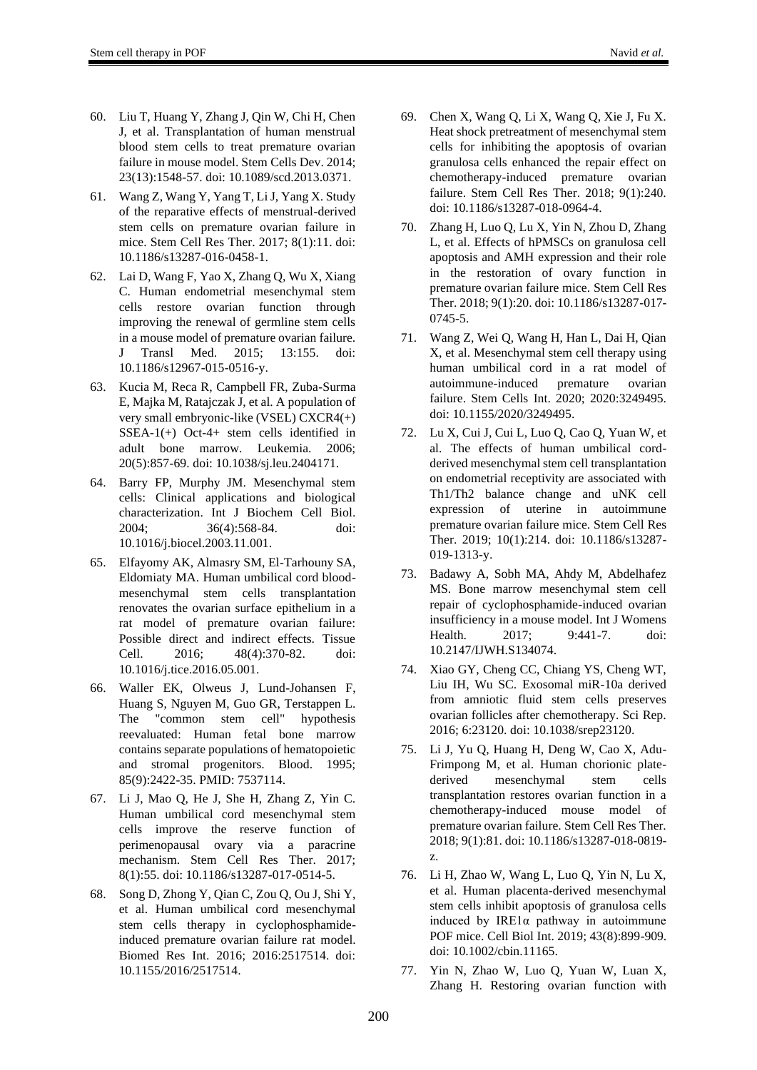- 60. Liu T, Huang Y, Zhang J, Qin W, Chi H, Chen J, et al. Transplantation of human menstrual blood stem cells to treat premature ovarian failure in mouse model. Stem Cells Dev. 2014; 23(13):1548-57. doi: 10.1089/scd.2013.0371.
- 61. Wang Z, Wang Y, Yang T, Li J, Yang X. Study of the reparative effects of menstrual-derived stem cells on premature ovarian failure in mice. Stem Cell Res Ther. 2017; 8(1):11. doi: 10.1186/s13287-016-0458-1.
- 62. Lai D, Wang F, Yao X, Zhang Q, Wu X, Xiang C. Human endometrial mesenchymal stem cells restore ovarian function through improving the renewal of germline stem cells in a mouse model of premature ovarian failure. J Transl Med. 2015; 13:155. doi: 10.1186/s12967-015-0516-y.
- 63. Kucia M, Reca R, Campbell FR, Zuba-Surma E, Majka M, Ratajczak J, et al. A population of very small embryonic-like (VSEL) CXCR4(+)  $SSEA-1(+)$  Oct-4+ stem cells identified in adult bone marrow. Leukemia. 2006; 20(5):857-69. doi: 10.1038/sj.leu.2404171.
- 64. Barry FP, Murphy JM. Mesenchymal stem cells: Clinical applications and biological characterization. Int J Biochem Cell Biol. 2004; 36(4):568-84. doi: 10.1016/j.biocel.2003.11.001.
- 65. Elfayomy AK, Almasry SM, El-Tarhouny SA, Eldomiaty MA. Human umbilical cord bloodmesenchymal stem cells transplantation renovates the ovarian surface epithelium in a rat model of premature ovarian failure: Possible direct and indirect effects. Tissue Cell. 2016; 48(4):370-82. doi: 10.1016/j.tice.2016.05.001.
- 66. Waller EK, Olweus J, Lund-Johansen F, Huang S, Nguyen M, Guo GR, Terstappen L. The "common stem cell" hypothesis reevaluated: Human fetal bone marrow contains separate populations of hematopoietic and stromal progenitors. Blood. 1995; 85(9):2422-35. PMID: 7537114.
- 67. Li J, Mao Q, He J, She H, Zhang Z, Yin C. Human umbilical cord mesenchymal stem cells improve the reserve function of perimenopausal ovary via a paracrine mechanism. Stem Cell Res Ther. 2017; 8(1):55. doi: 10.1186/s13287-017-0514-5.
- 68. Song D, Zhong Y, Qian C, Zou Q, Ou J, Shi Y, et al. Human umbilical cord mesenchymal stem cells therapy in cyclophosphamideinduced premature ovarian failure rat model. Biomed Res Int. 2016; 2016:2517514. doi: 10.1155/2016/2517514.
- 69. Chen X, Wang Q, Li X, Wang Q, Xie J, Fu X. Heat shock pretreatment of mesenchymal stem cells for inhibiting the apoptosis of ovarian granulosa cells enhanced the repair effect on chemotherapy-induced premature ovarian failure. Stem Cell Res Ther. 2018; 9(1):240. doi: 10.1186/s13287-018-0964-4.
- 70. Zhang H, Luo Q, Lu X, Yin N, Zhou D, Zhang L, et al. Effects of hPMSCs on granulosa cell apoptosis and AMH expression and their role in the restoration of ovary function in premature ovarian failure mice. Stem Cell Res Ther. 2018; 9(1):20. doi: 10.1186/s13287-017- 0745-5.
- 71. Wang Z, Wei Q, Wang H, Han L, Dai H, Qian X, et al. Mesenchymal stem cell therapy using human umbilical cord in a rat model of autoimmune-induced premature ovarian failure. Stem Cells Int. 2020; 2020:3249495. doi: 10.1155/2020/3249495.
- 72. Lu X, Cui J, Cui L, Luo Q, Cao Q, Yuan W, et al. The effects of human umbilical cordderived mesenchymal stem cell transplantation on endometrial receptivity are associated with Th1/Th2 balance change and uNK cell expression of uterine in autoimmune premature ovarian failure mice. Stem Cell Res Ther. 2019; 10(1):214. doi: 10.1186/s13287- 019-1313-y.
- 73. Badawy A, Sobh MA, Ahdy M, Abdelhafez MS. Bone marrow mesenchymal stem cell repair of cyclophosphamide-induced ovarian insufficiency in a mouse model. Int J Womens Health. 2017; 9:441-7. doi: 10.2147/IJWH.S134074.
- 74. Xiao GY, Cheng CC, Chiang YS, Cheng WT, Liu IH, Wu SC. Exosomal miR-10a derived from amniotic fluid stem cells preserves ovarian follicles after chemotherapy. Sci Rep. 2016; 6:23120. doi: 10.1038/srep23120.
- 75. Li J, Yu Q, Huang H, Deng W, Cao X, Adu-Frimpong M, et al. Human chorionic platederived mesenchymal stem cells transplantation restores ovarian function in a chemotherapy-induced mouse model of premature ovarian failure. Stem Cell Res Ther. 2018; 9(1):81. doi: 10.1186/s13287-018-0819 z.
- 76. Li H, Zhao W, Wang L, Luo Q, Yin N, Lu X, et al. Human placenta-derived mesenchymal stem cells inhibit apoptosis of granulosa cells induced by IRE1 $\alpha$  pathway in autoimmune POF mice. Cell Biol Int. 2019; 43(8):899-909. doi: 10.1002/cbin.11165.
- 77. Yin N, Zhao W, Luo Q, Yuan W, Luan X, Zhang H. Restoring ovarian function with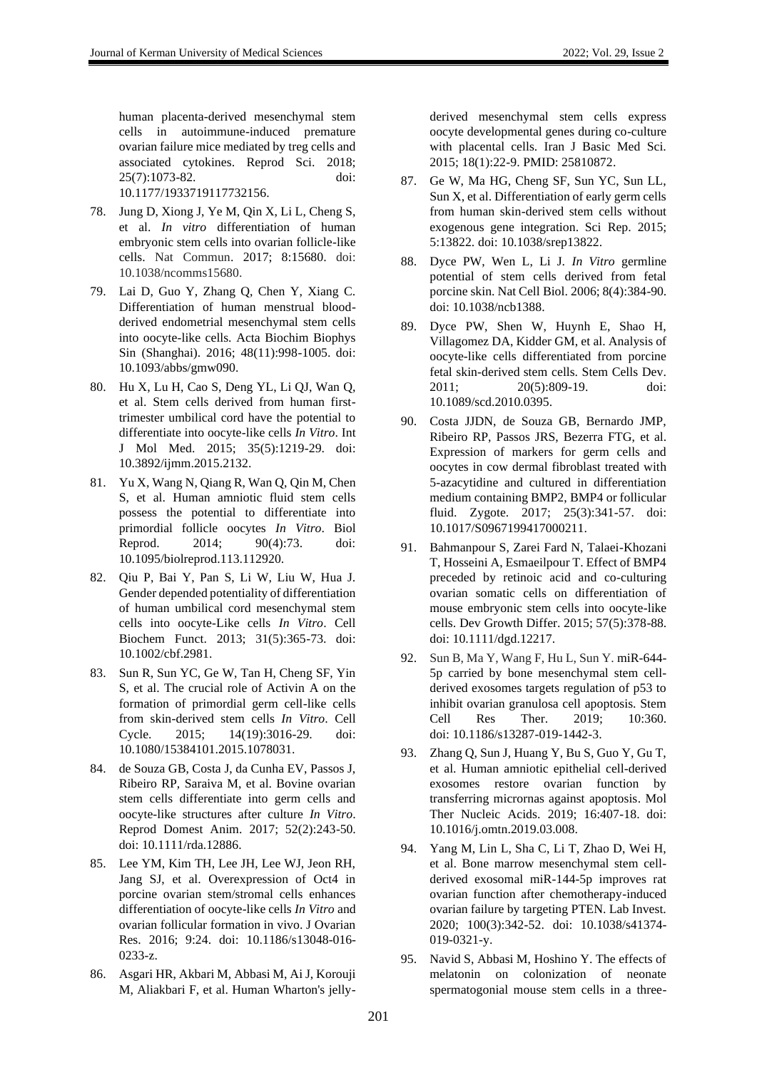human placenta-derived mesenchymal stem cells in autoimmune-induced premature ovarian failure mice mediated by treg cells and associated cytokines. Reprod Sci. 2018; 25(7):1073-82. doi: 10.1177/1933719117732156.

- 78. Jung D, Xiong J, Ye M, Qin X, Li L, Cheng S, et al. *In vitro* differentiation of human embryonic stem cells into ovarian follicle-like cells. Nat Commun. 2017; 8:15680. doi: 10.1038/ncomms15680.
- 79. Lai D, Guo Y, Zhang Q, Chen Y, Xiang C. Differentiation of human menstrual bloodderived endometrial mesenchymal stem cells into oocyte-like cells. Acta Biochim Biophys Sin (Shanghai). 2016; 48(11):998-1005. doi: 10.1093/abbs/gmw090.
- 80. Hu X, Lu H, Cao S, Deng YL, Li QJ, Wan Q, et al. Stem cells derived from human firsttrimester umbilical cord have the potential to differentiate into oocyte-like cells *In Vitro*. Int J Mol Med. 2015; 35(5):1219-29. doi: 10.3892/ijmm.2015.2132.
- 81. Yu X, Wang N, Qiang R, Wan Q, Qin M, Chen S, et al. Human amniotic fluid stem cells possess the potential to differentiate into primordial follicle oocytes *In Vitro*. Biol Reprod. 2014; 90(4):73. doi: 10.1095/biolreprod.113.112920.
- 82. Qiu P, Bai Y, Pan S, Li W, Liu W, Hua J. Gender depended potentiality of differentiation of human umbilical cord mesenchymal stem cells into oocyte-Like cells *In Vitro*. Cell Biochem Funct. 2013; 31(5):365-73. doi: 10.1002/cbf.2981.
- 83. Sun R, Sun YC, Ge W, Tan H, Cheng SF, Yin S, et al. The crucial role of Activin A on the formation of primordial germ cell-like cells from skin-derived stem cells *In Vitro*. Cell Cycle. 2015; 14(19):3016-29. doi: 10.1080/15384101.2015.1078031.
- 84. de Souza GB, Costa J, da Cunha EV, Passos J, Ribeiro RP, Saraiva M, et al. Bovine ovarian stem cells differentiate into germ cells and oocyte-like structures after culture *In Vitro*. Reprod Domest Anim. 2017; 52(2):243-50. doi: 10.1111/rda.12886.
- 85. Lee YM, Kim TH, Lee JH, Lee WJ, Jeon RH, Jang SJ, et al. Overexpression of Oct4 in porcine ovarian stem/stromal cells enhances differentiation of oocyte-like cells *In Vitro* and ovarian follicular formation in vivo. J Ovarian Res. 2016; 9:24. doi: 10.1186/s13048-016- 0233-z.
- 86. Asgari HR, Akbari M, Abbasi M, Ai J, Korouji M, Aliakbari F, et al. Human Wharton's jelly-

derived mesenchymal stem cells express oocyte developmental genes during co-culture with placental cells. Iran J Basic Med Sci. 2015; 18(1):22-9. PMID: 25810872.

- 87. Ge W, Ma HG, Cheng SF, Sun YC, Sun LL, Sun X, et al. Differentiation of early germ cells from human skin-derived stem cells without exogenous gene integration. Sci Rep. 2015; 5:13822. doi: 10.1038/srep13822.
- 88. Dyce PW, Wen L, Li J. *In Vitro* germline potential of stem cells derived from fetal porcine skin. Nat Cell Biol. 2006; 8(4):384-90. doi: 10.1038/ncb1388.
- 89. Dyce PW, Shen W, Huynh E, Shao H, Villagomez DA, Kidder GM, et al. Analysis of oocyte-like cells differentiated from porcine fetal skin-derived stem cells. Stem Cells Dev. 2011; 20(5):809-19. doi: 10.1089/scd.2010.0395.
- 90. Costa JJDN, de Souza GB, Bernardo JMP, Ribeiro RP, Passos JRS, Bezerra FTG, et al. Expression of markers for germ cells and oocytes in cow dermal fibroblast treated with 5-azacytidine and cultured in differentiation medium containing BMP2, BMP4 or follicular fluid. Zygote. 2017; 25(3):341-57. doi: 10.1017/S0967199417000211.
- 91. Bahmanpour S, Zarei Fard N, Talaei-Khozani T, Hosseini A, Esmaeilpour T. Effect of BMP4 preceded by retinoic acid and co-culturing ovarian somatic cells on differentiation of mouse embryonic stem cells into oocyte-like cells. Dev Growth Differ. 2015; 57(5):378-88. doi: 10.1111/dgd.12217.
- 92. Sun B, Ma Y, Wang F, Hu L, Sun Y. miR-644- 5p carried by bone mesenchymal stem cellderived exosomes targets regulation of p53 to inhibit ovarian granulosa cell apoptosis. Stem Cell Res Ther. 2019; 10:360. doi: 10.1186/s13287-019-1442-3.
- 93. Zhang Q, Sun J, Huang Y, Bu S, Guo Y, Gu T, et al. Human amniotic epithelial cell-derived exosomes restore ovarian function by transferring micrornas against apoptosis. Mol Ther Nucleic Acids. 2019; 16:407-18. doi: 10.1016/j.omtn.2019.03.008.
- 94. Yang M, Lin L, Sha C, Li T, Zhao D, Wei H, et al. Bone marrow mesenchymal stem cellderived exosomal miR-144-5p improves rat ovarian function after chemotherapy-induced ovarian failure by targeting PTEN. Lab Invest. 2020; 100(3):342-52. doi: 10.1038/s41374- 019-0321-y.
- 95. Navid S, Abbasi M, Hoshino Y. The effects of melatonin on colonization of neonate spermatogonial mouse stem cells in a three-